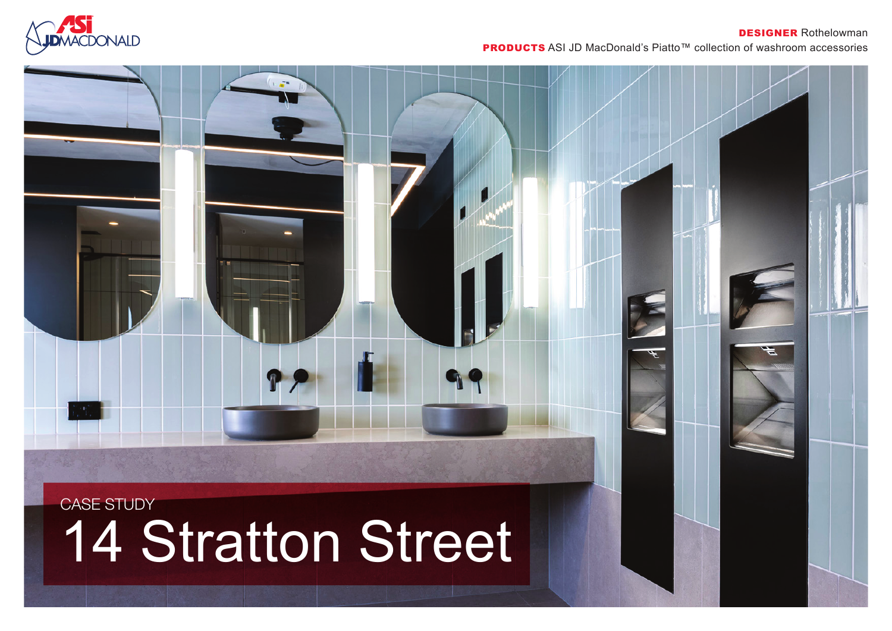

## DESIGNER Rothelowman

PRODUCTS ASI JD MacDonald's Piatto™ collection of washroom accessories